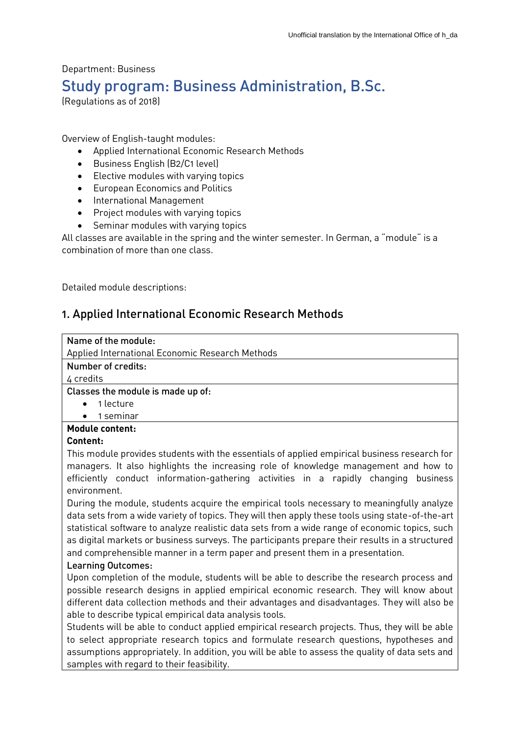Department: Business Study program: Business Administration, B.Sc. (Regulations as of 2018)

Overview of English-taught modules:

- Applied International Economic Research Methods
- Business English (B2/C1 level)
- Elective modules with varying topics
- European Economics and Politics
- **•** International Management
- Project modules with varying topics
- Seminar modules with varying topics

All classes are available in the spring and the winter semester. In German, a "module" is a combination of more than one class.

Detailed module descriptions:

# 1. Applied International Economic Research Methods

| Name of the module:                                                                                                                                                                                                                                                                                                                        |
|--------------------------------------------------------------------------------------------------------------------------------------------------------------------------------------------------------------------------------------------------------------------------------------------------------------------------------------------|
| Applied International Economic Research Methods                                                                                                                                                                                                                                                                                            |
| Number of credits:                                                                                                                                                                                                                                                                                                                         |
| 4 credits                                                                                                                                                                                                                                                                                                                                  |
| Classes the module is made up of:                                                                                                                                                                                                                                                                                                          |
| 1 lecture<br>$\bullet$                                                                                                                                                                                                                                                                                                                     |
| $\bullet$ 1 seminar                                                                                                                                                                                                                                                                                                                        |
| <b>Module content:</b>                                                                                                                                                                                                                                                                                                                     |
| <b>Content:</b>                                                                                                                                                                                                                                                                                                                            |
| $\mathcal{L} = \{ \mathcal{L} = \mathcal{L} \mid \mathcal{L} = \mathcal{L} \}$ . The contract of the contract of the contract of the contract of the contract of the contract of the contract of the contract of the contract of the contract of the contract of t<br>$\mathbf{r}$ , and a set of $\mathbf{r}$ , and a set of $\mathbf{r}$ |

This module provides students with the essentials of applied empirical business research for managers. It also highlights the increasing role of knowledge management and how to efficiently conduct information-gathering activities in a rapidly changing business environment.

During the module, students acquire the empirical tools necessary to meaningfully analyze data sets from a wide variety of topics. They will then apply these tools using state-of-the-art statistical software to analyze realistic data sets from a wide range of economic topics, such as digital markets or business surveys. The participants prepare their results in a structured and comprehensible manner in a term paper and present them in a presentation.

### Learning Outcomes:

Upon completion of the module, students will be able to describe the research process and possible research designs in applied empirical economic research. They will know about different data collection methods and their advantages and disadvantages. They will also be able to describe typical empirical data analysis tools.

Students will be able to conduct applied empirical research projects. Thus, they will be able to select appropriate research topics and formulate research questions, hypotheses and assumptions appropriately. In addition, you will be able to assess the quality of data sets and samples with regard to their feasibility.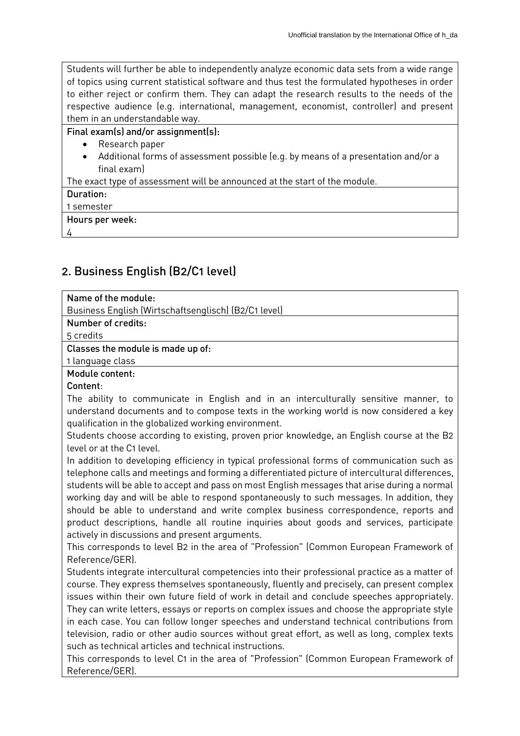Students will further be able to independently analyze economic data sets from a wide range of topics using current statistical software and thus test the formulated hypotheses in order to either reject or confirm them. They can adapt the research results to the needs of the respective audience (e.g. international, management, economist, controller) and present them in an understandable way.

## Final exam(s) and/or assignment(s):

- Research paper
- Additional forms of assessment possible (e.g. by means of a presentation and/or a final exam)

The exact type of assessment will be announced at the start of the module.

- Duration:
- 1 semester

Hours per week:

4

# 2. Business English (B2/C1 level)

| Name of the module:                                  |
|------------------------------------------------------|
| Business English (Wirtschaftsenglisch) (B2/C1 level) |
| Number of credits:                                   |
| 5 credits                                            |
| Classes the module is made up of:                    |
| 1 language class                                     |
| Module content:                                      |
| Content:                                             |

The ability to communicate in English and in an interculturally sensitive manner, to understand documents and to compose texts in the working world is now considered a key qualification in the globalized working environment.

Students choose according to existing, proven prior knowledge, an English course at the B2 level or at the C1 level.

In addition to developing efficiency in typical professional forms of communication such as telephone calls and meetings and forming a differentiated picture of intercultural differences, students will be able to accept and pass on most English messages that arise during a normal working day and will be able to respond spontaneously to such messages. In addition, they should be able to understand and write complex business correspondence, reports and product descriptions, handle all routine inquiries about goods and services, participate actively in discussions and present arguments.

This corresponds to level B2 in the area of "Profession" (Common European Framework of Reference/GER).

Students integrate intercultural competencies into their professional practice as a matter of course. They express themselves spontaneously, fluently and precisely, can present complex issues within their own future field of work in detail and conclude speeches appropriately. They can write letters, essays or reports on complex issues and choose the appropriate style in each case. You can follow longer speeches and understand technical contributions from television, radio or other audio sources without great effort, as well as long, complex texts such as technical articles and technical instructions.

This corresponds to level C1 in the area of "Profession" (Common European Framework of Reference/GER).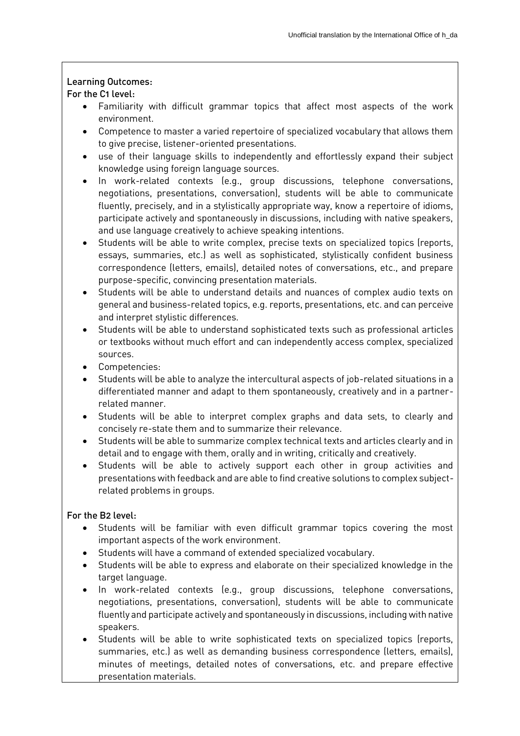## Learning Outcomes:

## For the C1 level:

- Familiarity with difficult grammar topics that affect most aspects of the work environment.
- Competence to master a varied repertoire of specialized vocabulary that allows them to give precise, listener-oriented presentations.
- use of their language skills to independently and effortlessly expand their subject knowledge using foreign language sources.
- In work-related contexts (e.g., group discussions, telephone conversations, negotiations, presentations, conversation), students will be able to communicate fluently, precisely, and in a stylistically appropriate way, know a repertoire of idioms, participate actively and spontaneously in discussions, including with native speakers, and use language creatively to achieve speaking intentions.
- Students will be able to write complex, precise texts on specialized topics (reports, essays, summaries, etc.) as well as sophisticated, stylistically confident business correspondence (letters, emails), detailed notes of conversations, etc., and prepare purpose-specific, convincing presentation materials.
- Students will be able to understand details and nuances of complex audio texts on general and business-related topics, e.g. reports, presentations, etc. and can perceive and interpret stylistic differences.
- Students will be able to understand sophisticated texts such as professional articles or textbooks without much effort and can independently access complex, specialized sources.
- Competencies:
- Students will be able to analyze the intercultural aspects of job-related situations in a differentiated manner and adapt to them spontaneously, creatively and in a partnerrelated manner.
- Students will be able to interpret complex graphs and data sets, to clearly and concisely re-state them and to summarize their relevance.
- Students will be able to summarize complex technical texts and articles clearly and in detail and to engage with them, orally and in writing, critically and creatively.
- Students will be able to actively support each other in group activities and presentations with feedback and are able to find creative solutions to complex subjectrelated problems in groups.

# For the B2 level:

- Students will be familiar with even difficult grammar topics covering the most important aspects of the work environment.
- Students will have a command of extended specialized vocabulary.
- Students will be able to express and elaborate on their specialized knowledge in the target language.
- In work-related contexts (e.g., group discussions, telephone conversations, negotiations, presentations, conversation), students will be able to communicate fluently and participate actively and spontaneously in discussions, including with native speakers.
- Students will be able to write sophisticated texts on specialized topics (reports, summaries, etc.) as well as demanding business correspondence (letters, emails), minutes of meetings, detailed notes of conversations, etc. and prepare effective presentation materials.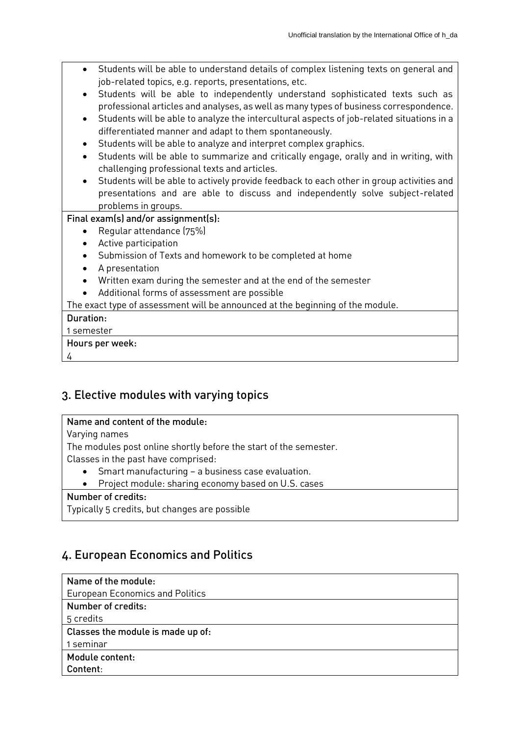| Students will be able to understand details of complex listening texts on general and<br>job-related topics, e.g. reports, presentations, etc.<br>Students will be able to independently understand sophisticated texts such as<br>professional articles and analyses, as well as many types of business correspondence.<br>Students will be able to analyze the intercultural aspects of job-related situations in a<br>differentiated manner and adapt to them spontaneously.<br>Students will be able to analyze and interpret complex graphics.<br>Students will be able to summarize and critically engage, orally and in writing, with |
|----------------------------------------------------------------------------------------------------------------------------------------------------------------------------------------------------------------------------------------------------------------------------------------------------------------------------------------------------------------------------------------------------------------------------------------------------------------------------------------------------------------------------------------------------------------------------------------------------------------------------------------------|
| challenging professional texts and articles.                                                                                                                                                                                                                                                                                                                                                                                                                                                                                                                                                                                                 |
| Students will be able to actively provide feedback to each other in group activities and                                                                                                                                                                                                                                                                                                                                                                                                                                                                                                                                                     |
| presentations and are able to discuss and independently solve subject-related                                                                                                                                                                                                                                                                                                                                                                                                                                                                                                                                                                |
| problems in groups.                                                                                                                                                                                                                                                                                                                                                                                                                                                                                                                                                                                                                          |
| Final exam(s) and/or assignment(s):                                                                                                                                                                                                                                                                                                                                                                                                                                                                                                                                                                                                          |
| Regular attendance (75%)                                                                                                                                                                                                                                                                                                                                                                                                                                                                                                                                                                                                                     |
| Active participation                                                                                                                                                                                                                                                                                                                                                                                                                                                                                                                                                                                                                         |
| Submission of Texts and homework to be completed at home<br>$\bullet$                                                                                                                                                                                                                                                                                                                                                                                                                                                                                                                                                                        |
| A presentation<br>$\bullet$                                                                                                                                                                                                                                                                                                                                                                                                                                                                                                                                                                                                                  |
| Written exam during the semester and at the end of the semester                                                                                                                                                                                                                                                                                                                                                                                                                                                                                                                                                                              |
| Additional forms of assessment are possible                                                                                                                                                                                                                                                                                                                                                                                                                                                                                                                                                                                                  |
| The exact type of assessment will be announced at the beginning of the module.                                                                                                                                                                                                                                                                                                                                                                                                                                                                                                                                                               |
| Duration:                                                                                                                                                                                                                                                                                                                                                                                                                                                                                                                                                                                                                                    |
| 1 semester                                                                                                                                                                                                                                                                                                                                                                                                                                                                                                                                                                                                                                   |
| Hours per week:                                                                                                                                                                                                                                                                                                                                                                                                                                                                                                                                                                                                                              |
| 4                                                                                                                                                                                                                                                                                                                                                                                                                                                                                                                                                                                                                                            |
|                                                                                                                                                                                                                                                                                                                                                                                                                                                                                                                                                                                                                                              |

# 3. Elective modules with varying topics

# Name and content of the module:

Varying names

The modules post online shortly before the start of the semester.

Classes in the past have comprised:

- Smart manufacturing a business case evaluation.
- Project module: sharing economy based on U.S. cases

# Number of credits:

Typically 5 credits, but changes are possible

# 4. European Economics and Politics

| Name of the module:                    |
|----------------------------------------|
| <b>European Economics and Politics</b> |
| Number of credits:                     |
| 5 credits                              |
| Classes the module is made up of:      |
| 1 seminar                              |
| Module content:                        |
| Content:                               |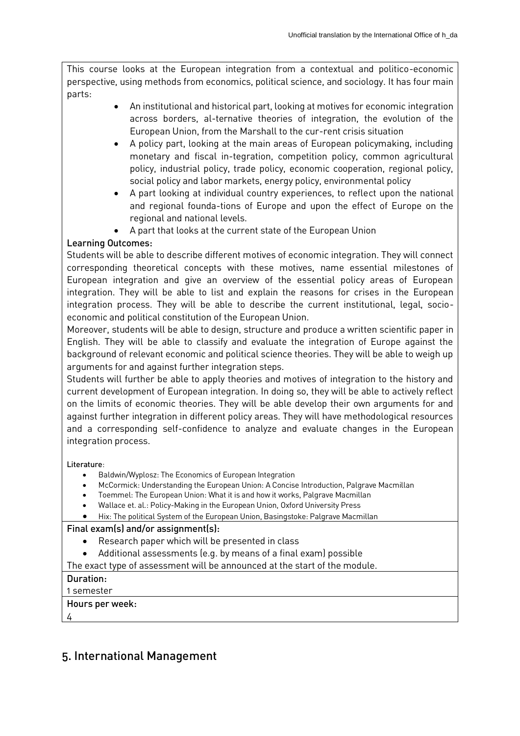This course looks at the European integration from a contextual and politico-economic perspective, using methods from economics, political science, and sociology. It has four main parts:

- An institutional and historical part, looking at motives for economic integration across borders, al-ternative theories of integration, the evolution of the European Union, from the Marshall to the cur-rent crisis situation
- A policy part, looking at the main areas of European policymaking, including monetary and fiscal in-tegration, competition policy, common agricultural policy, industrial policy, trade policy, economic cooperation, regional policy, social policy and labor markets, energy policy, environmental policy
- A part looking at individual country experiences, to reflect upon the national and regional founda-tions of Europe and upon the effect of Europe on the regional and national levels.
- A part that looks at the current state of the European Union

## Learning Outcomes:

Students will be able to describe different motives of economic integration. They will connect corresponding theoretical concepts with these motives, name essential milestones of European integration and give an overview of the essential policy areas of European integration. They will be able to list and explain the reasons for crises in the European integration process. They will be able to describe the current institutional, legal, socioeconomic and political constitution of the European Union.

Moreover, students will be able to design, structure and produce a written scientific paper in English. They will be able to classify and evaluate the integration of Europe against the background of relevant economic and political science theories. They will be able to weigh up arguments for and against further integration steps.

Students will further be able to apply theories and motives of integration to the history and current development of European integration. In doing so, they will be able to actively reflect on the limits of economic theories. They will be able develop their own arguments for and against further integration in different policy areas. They will have methodological resources and a corresponding self-confidence to analyze and evaluate changes in the European integration process.

Literature:

- Baldwin/Wyplosz: The Economics of European Integration
- McCormick: Understanding the European Union: A Concise Introduction, Palgrave Macmillan
- Toemmel: The European Union: What it is and how it works, Palgrave Macmillan
- Wallace et. al.: Policy-Making in the European Union, Oxford University Press
- Hix: The political System of the European Union, Basingstoke: Palgrave Macmillan

### Final exam(s) and/or assignment(s):

- Research paper which will be presented in class
- Additional assessments (e.g. by means of a final exam) possible

The exact type of assessment will be announced at the start of the module.

# Duration:

1 semester Hours per week:

4

# 5. International Management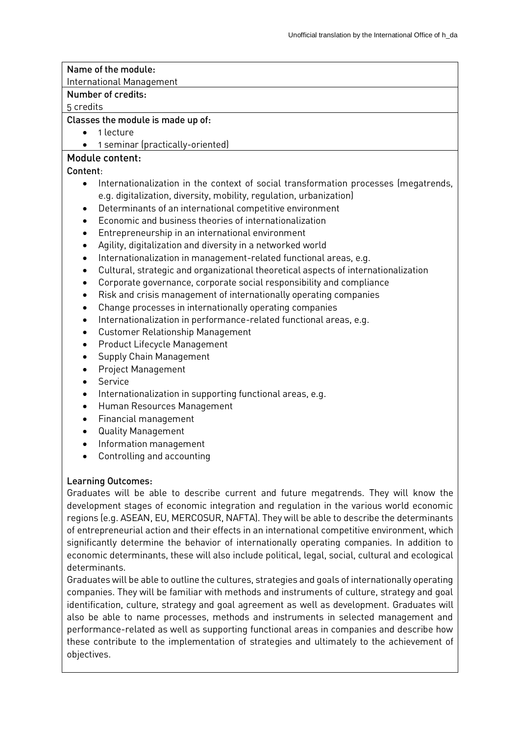# Name of the module:

International Management

### Number of credits:

5 credits

### Classes the module is made up of:

- 1 lecture
- 1 seminar (practically-oriented)

# Module content:

### Content:

- Internationalization in the context of social transformation processes (megatrends, e.g. digitalization, diversity, mobility, regulation, urbanization)
- Determinants of an international competitive environment
- Economic and business theories of internationalization
- Entrepreneurship in an international environment
- Agility, digitalization and diversity in a networked world
- Internationalization in management-related functional areas, e.g.
- Cultural, strategic and organizational theoretical aspects of internationalization
- Corporate governance, corporate social responsibility and compliance
- Risk and crisis management of internationally operating companies
- Change processes in internationally operating companies
- Internationalization in performance-related functional areas, e.g.
- Customer Relationship Management
- Product Lifecycle Management
- Supply Chain Management
- Project Management
- **•** Service
- Internationalization in supporting functional areas, e.g.
- Human Resources Management
- Financial management
- Quality Management
- Information management
- Controlling and accounting

### Learning Outcomes:

Graduates will be able to describe current and future megatrends. They will know the development stages of economic integration and regulation in the various world economic regions (e.g. ASEAN, EU, MERCOSUR, NAFTA). They will be able to describe the determinants of entrepreneurial action and their effects in an international competitive environment, which significantly determine the behavior of internationally operating companies. In addition to economic determinants, these will also include political, legal, social, cultural and ecological determinants.

Graduates will be able to outline the cultures, strategies and goals of internationally operating companies. They will be familiar with methods and instruments of culture, strategy and goal identification, culture, strategy and goal agreement as well as development. Graduates will also be able to name processes, methods and instruments in selected management and performance-related as well as supporting functional areas in companies and describe how these contribute to the implementation of strategies and ultimately to the achievement of objectives.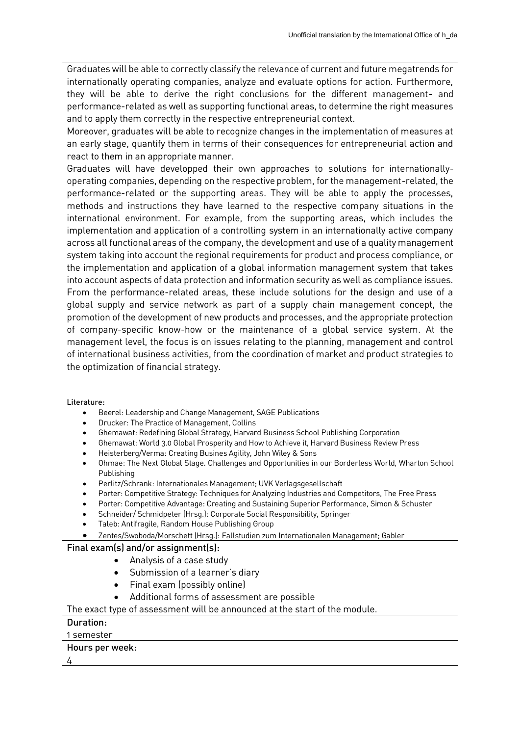Graduates will be able to correctly classify the relevance of current and future megatrends for internationally operating companies, analyze and evaluate options for action. Furthermore, they will be able to derive the right conclusions for the different management- and performance-related as well as supporting functional areas, to determine the right measures and to apply them correctly in the respective entrepreneurial context.

Moreover, graduates will be able to recognize changes in the implementation of measures at an early stage, quantify them in terms of their consequences for entrepreneurial action and react to them in an appropriate manner.

Graduates will have developped their own approaches to solutions for internationallyoperating companies, depending on the respective problem, for the management-related, the performance-related or the supporting areas. They will be able to apply the processes, methods and instructions they have learned to the respective company situations in the international environment. For example, from the supporting areas, which includes the implementation and application of a controlling system in an internationally active company across all functional areas of the company, the development and use of a quality management system taking into account the regional requirements for product and process compliance, or the implementation and application of a global information management system that takes into account aspects of data protection and information security as well as compliance issues. From the performance-related areas, these include solutions for the design and use of a global supply and service network as part of a supply chain management concept, the promotion of the development of new products and processes, and the appropriate protection of company-specific know-how or the maintenance of a global service system. At the management level, the focus is on issues relating to the planning, management and control of international business activities, from the coordination of market and product strategies to the optimization of financial strategy.

#### Literature:

- Beerel: Leadership and Change Management, SAGE Publications
- Drucker: The Practice of Management, Collins
- Ghemawat: Redefining Global Strategy, Harvard Business School Publishing Corporation
- Ghemawat: World 3.0 Global Prosperity and How to Achieve it, Harvard Business Review Press
- Heisterberg/Verma: Creating Busines Agility, John Wiley & Sons
- Ohmae: The Next Global Stage. Challenges and Opportunities in our Borderless World, Wharton School Publishing
- Perlitz/Schrank: Internationales Management; UVK Verlagsgesellschaft
- Porter: Competitive Strategy: Techniques for Analyzing Industries and Competitors, The Free Press
- Porter: Competitive Advantage: Creating and Sustaining Superior Performance, Simon & Schuster
- Schneider/ Schmidpeter (Hrsg.): Corporate Social Responsibility, Springer
- Taleb: Antifragile, Random House Publishing Group
- Zentes/Swoboda/Morschett (Hrsg.): Fallstudien zum Internationalen Management; Gabler

### Final exam(s) and/or assignment(s):

- Analysis of a case study
- Submission of a learner's diary
- Final exam (possibly online)
- Additional forms of assessment are possible

The exact type of assessment will be announced at the start of the module.

### Duration:

1 semester

### Hours per week:

4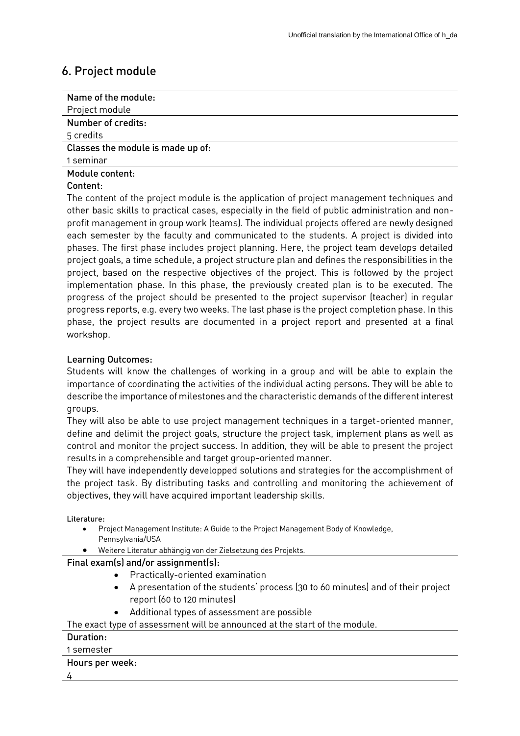# 6. Project module

| Name of the module:                                                                              |
|--------------------------------------------------------------------------------------------------|
| Project module                                                                                   |
| Number of credits:                                                                               |
| 5 credits                                                                                        |
| Classes the module is made up of:                                                                |
| 1 seminar                                                                                        |
| Module content:                                                                                  |
| Content:                                                                                         |
| The content of the project module is the application of project management techniques and        |
| other basic skills to practical cases, especially in the field of public administration and non- |
| profit management in group work (teams). The individual projects offered are newly designed      |
| each semester by the faculty and communicated to the students. A project is divided into         |
| phases. The first phase includes project planning. Here, the project team develops detailed      |
| project goals, a time schedule, a project structure plan and defines the responsibilities in the |
| project, based on the respective objectives of the project. This is followed by the project      |
| implementation phase. In this phase, the previously created plan is to be executed. The          |

progress of the project should be presented to the project supervisor (teacher) in regular progress reports, e.g. every two weeks. The last phase is the project completion phase. In this phase, the project results are documented in a project report and presented at a final workshop.

# Learning Outcomes:

Students will know the challenges of working in a group and will be able to explain the importance of coordinating the activities of the individual acting persons. They will be able to describe the importance of milestones and the characteristic demands of the different interest groups.

They will also be able to use project management techniques in a target-oriented manner, define and delimit the project goals, structure the project task, implement plans as well as control and monitor the project success. In addition, they will be able to present the project results in a comprehensible and target group-oriented manner.

They will have independently developped solutions and strategies for the accomplishment of the project task. By distributing tasks and controlling and monitoring the achievement of objectives, they will have acquired important leadership skills.

#### Literature:

- Project Management Institute: A Guide to the Project Management Body of Knowledge, Pennsylvania/USA
- Weitere Literatur abhängig von der Zielsetzung des Projekts.

### Final exam(s) and/or assignment(s):

- Practically-oriented examination
- A presentation of the students' process (30 to 60 minutes) and of their project report (60 to 120 minutes)
- Additional types of assessment are possible

The exact type of assessment will be announced at the start of the module.

### Duration:

#### 1 semester

#### Hours per week:

4